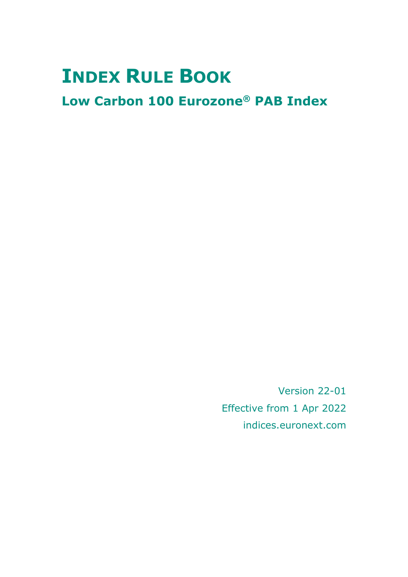# **INDEX RULE BOOK**

# **Low Carbon 100 Eurozone® PAB Index**

Version 22-01 Effective from 1 Apr 2022 indices.euronext.com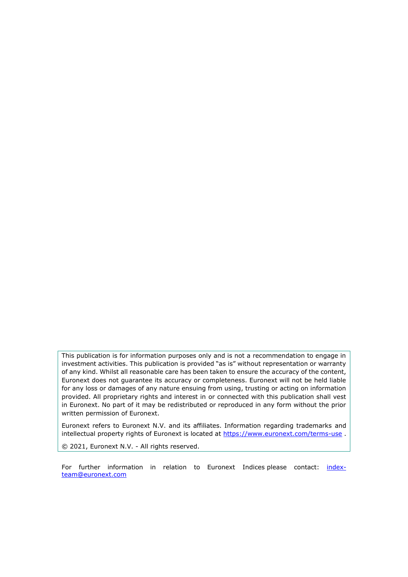This publication is for information purposes only and is not a recommendation to engage in investment activities. This publication is provided "as is" without representation or warranty of any kind. Whilst all reasonable care has been taken to ensure the accuracy of the content, Euronext does not guarantee its accuracy or completeness. Euronext will not be held liable for any loss or damages of any nature ensuing from using, trusting or acting on information provided. All proprietary rights and interest in or connected with this publication shall vest in Euronext. No part of it may be redistributed or reproduced in any form without the prior written permission of Euronext.

Euronext refers to Euronext N.V. and its affiliates. Information regarding trademarks and intellectual property rights of Euronext is located at<https://www.euronext.com/terms-use>.

© 2021, Euronext N.V. - All rights reserved.

For further information in relation to Euronext Indices please contact: [index](mailto:index-team@euronext.com)[team@euronext.com](mailto:index-team@euronext.com)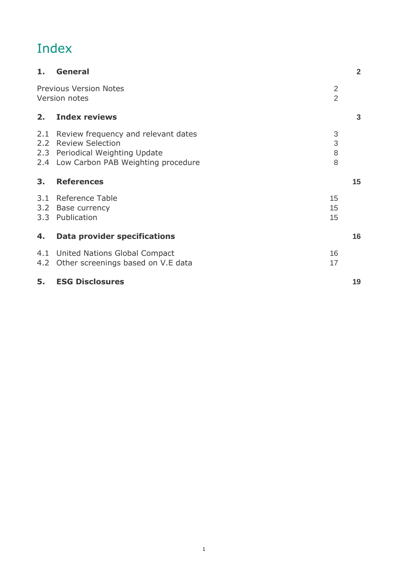# Index

| 1.                   | <b>General</b>                                                                                                                              |                                  | $\overline{2}$ |
|----------------------|---------------------------------------------------------------------------------------------------------------------------------------------|----------------------------------|----------------|
|                      | <b>Previous Version Notes</b><br>Version notes                                                                                              | $\overline{2}$<br>$\overline{2}$ |                |
| 2.                   | <b>Index reviews</b>                                                                                                                        |                                  | 3              |
| 2.1<br>$2.2^{\circ}$ | Review frequency and relevant dates<br><b>Review Selection</b><br>2.3 Periodical Weighting Update<br>2.4 Low Carbon PAB Weighting procedure | 3<br>3<br>8<br>8                 |                |
| 3 <sub>1</sub>       | <b>References</b>                                                                                                                           |                                  | 15             |
| 3.1<br>3.2           | Reference Table<br>Base currency<br>3.3 Publication                                                                                         | 15<br>15<br>15                   |                |
| 4.                   | <b>Data provider specifications</b>                                                                                                         |                                  | 16             |
|                      | 4.1 United Nations Global Compact<br>4.2 Other screenings based on V.E data                                                                 | 16<br>17                         |                |
| 5.                   | <b>ESG Disclosures</b>                                                                                                                      |                                  | 19             |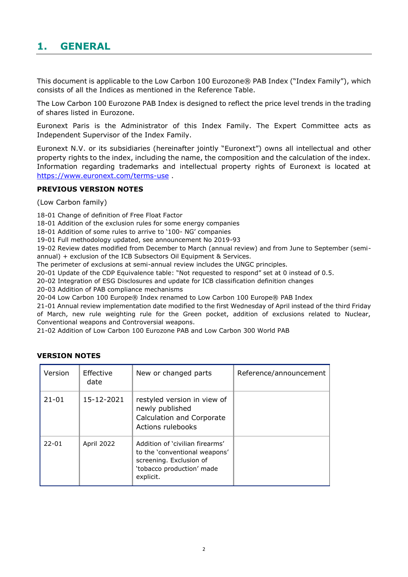# <span id="page-3-0"></span>**1. GENERAL**

This document is applicable to the Low Carbon 100 Eurozone® PAB Index ("Index Family"), which consists of all the Indices as mentioned in the Reference Table.

The Low Carbon 100 Eurozone PAB Index is designed to reflect the price level trends in the trading of shares listed in Eurozone.

Euronext Paris is the Administrator of this Index Family. The Expert Committee acts as Independent Supervisor of the Index Family.

Euronext N.V. or its subsidiaries (hereinafter jointly "Euronext") owns all intellectual and other property rights to the index, including the name, the composition and the calculation of the index. Information regarding trademarks and intellectual property rights of Euronext is located at <https://www.euronext.com/terms-use> .

# <span id="page-3-1"></span>**PREVIOUS VERSION NOTES**

(Low Carbon family)

18-01 Change of definition of Free Float Factor

18-01 Addition of the exclusion rules for some energy companies

18-01 Addition of some rules to arrive to '100- NG' companies

19-01 Full methodology updated, see announcement No 2019-93

19-02 Review dates modified from December to March (annual review) and from June to September (semiannual) + exclusion of the ICB Subsectors Oil Equipment & Services.

The perimeter of exclusions at semi-annual review includes the UNGC principles.

20-01 Update of the CDP Equivalence table: "Not requested to respond" set at 0 instead of 0.5.

20-02 Integration of ESG Disclosures and update for ICB classification definition changes

20-03 Addition of PAB compliance mechanisms

20-04 Low Carbon 100 Europe® Index renamed to Low Carbon 100 Europe® PAB Index

21-01 Annual review implementation date modified to the first Wednesday of April instead of the third Friday of March, new rule weighting rule for the Green pocket, addition of exclusions related to Nuclear, Conventional weapons and Controversial weapons.

21-02 Addition of Low Carbon 100 Eurozone PAB and Low Carbon 300 World PAB

| Version   | Effective<br>date | New or changed parts                                                                                                                  | Reference/announcement |
|-----------|-------------------|---------------------------------------------------------------------------------------------------------------------------------------|------------------------|
| $21 - 01$ | 15-12-2021        | restyled version in view of<br>newly published<br>Calculation and Corporate<br>Actions rulebooks                                      |                        |
| $22 - 01$ | April 2022        | Addition of 'civilian firearms'<br>to the 'conventional weapons'<br>screening. Exclusion of<br>'tobacco production' made<br>explicit. |                        |

# <span id="page-3-2"></span>**VERSION NOTES**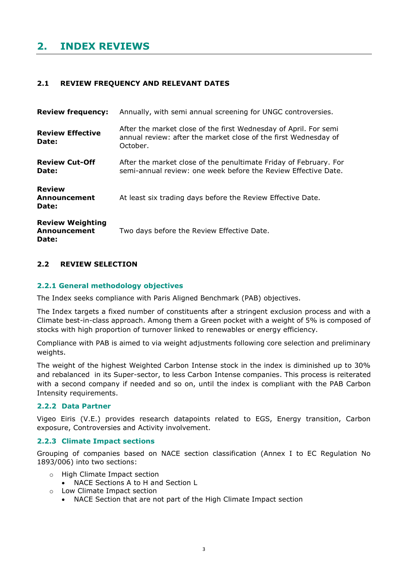# <span id="page-4-0"></span>**2. INDEX REVIEWS**

# <span id="page-4-1"></span>**2.1 REVIEW FREQUENCY AND RELEVANT DATES**

| <b>Review frequency:</b>                                | Annually, with semi annual screening for UNGC controversies.                                                                                    |
|---------------------------------------------------------|-------------------------------------------------------------------------------------------------------------------------------------------------|
| <b>Review Effective</b><br>Date:                        | After the market close of the first Wednesday of April. For semi<br>annual review: after the market close of the first Wednesday of<br>October. |
| <b>Review Cut-Off</b><br>Date:                          | After the market close of the penultimate Friday of February. For<br>semi-annual review: one week before the Review Effective Date.             |
| <b>Review</b><br>Announcement<br>Date:                  | At least six trading days before the Review Effective Date.                                                                                     |
| <b>Review Weighting</b><br><b>Announcement</b><br>Date: | Two days before the Review Effective Date.                                                                                                      |

# <span id="page-4-2"></span>**2.2 REVIEW SELECTION**

# **2.2.1 General methodology objectives**

The Index seeks compliance with Paris Aligned Benchmark (PAB) objectives.

The Index targets a fixed number of constituents after a stringent exclusion process and with a Climate best-in-class approach. Among them a Green pocket with a weight of 5% is composed of stocks with high proportion of turnover linked to renewables or energy efficiency.

Compliance with PAB is aimed to via weight adjustments following core selection and preliminary weights.

The weight of the highest Weighted Carbon Intense stock in the index is diminished up to 30% and rebalanced in its Super-sector, to less Carbon Intense companies. This process is reiterated with a second company if needed and so on, until the index is compliant with the PAB Carbon Intensity requirements.

# **2.2.2 Data Partner**

Vigeo Eiris (V.E.) provides research datapoints related to EGS, Energy transition, Carbon exposure, Controversies and Activity involvement.

# **2.2.3 Climate Impact sections**

Grouping of companies based on NACE section classification (Annex I to EC Regulation No 1893/006) into two sections:

- o High Climate Impact section
	- NACE Sections A to H and Section L
- o Low Climate Impact section
	- NACE Section that are not part of the High Climate Impact section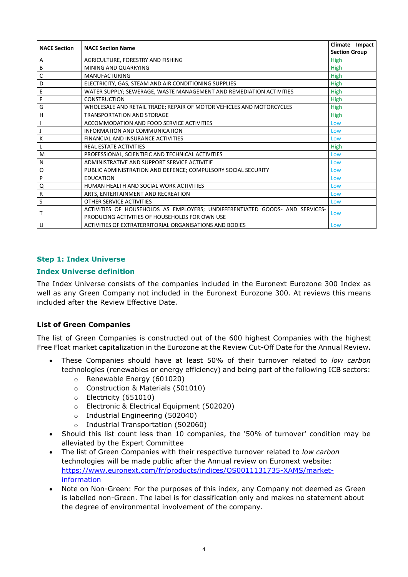| <b>NACE Section</b> | <b>NACE Section Name</b>                                                     |                      |
|---------------------|------------------------------------------------------------------------------|----------------------|
|                     |                                                                              | <b>Section Group</b> |
| Α                   | AGRICULTURE, FORESTRY AND FISHING                                            | High                 |
| В                   | MINING AND QUARRYING                                                         | High                 |
| C                   | <b>MANUFACTURING</b>                                                         | High                 |
| D                   | ELECTRICITY, GAS, STEAM AND AIR CONDITIONING SUPPLIES                        | High                 |
| E                   | WATER SUPPLY; SEWERAGE, WASTE MANAGEMENT AND REMEDIATION ACTIVITIES          | High                 |
| F                   | <b>CONSTRUCTION</b>                                                          | High                 |
| G                   | WHOLESALE AND RETAIL TRADE; REPAIR OF MOTOR VEHICLES AND MOTORCYCLES         | High                 |
| Н                   | <b>TRANSPORTATION AND STORAGE</b>                                            | <b>High</b>          |
|                     | ACCOMMODATION AND FOOD SERVICE ACTIVITIES                                    | Low                  |
|                     | INFORMATION AND COMMUNICATION                                                | Low                  |
| К                   | FINANCIAL AND INSURANCE ACTIVITIES                                           | Low                  |
|                     | REAL ESTATE ACTIVITIES                                                       | High                 |
| M                   | PROFESSIONAL, SCIENTIFIC AND TECHNICAL ACTIVITIES                            | Low                  |
| Ν                   | ADMINISTRATIVE AND SUPPORT SERVICE ACTIVITIE                                 | Low                  |
| Ο                   | PUBLIC ADMINISTRATION AND DEFENCE; COMPULSORY SOCIAL SECURITY                | Low                  |
| P                   | <b>EDUCATION</b>                                                             | Low                  |
| Q                   | HUMAN HEALTH AND SOCIAL WORK ACTIVITIES                                      | Low                  |
| R                   | ARTS, ENTERTAINMENT AND RECREATION                                           | Low                  |
| S                   | OTHER SERVICE ACTIVITIES                                                     | Low                  |
| т                   | ACTIVITIES OF HOUSEHOLDS AS EMPLOYERS; UNDIFFERENTIATED GOODS- AND SERVICES- |                      |
|                     | PRODUCING ACTIVITIES OF HOUSEHOLDS FOR OWN USE                               | Low                  |
| U                   | ACTIVITIES OF EXTRATERRITORIAL ORGANISATIONS AND BODIES                      | Low                  |

# **Step 1: Index Universe**

# **Index Universe definition**

The Index Universe consists of the companies included in the Euronext Eurozone 300 Index as well as any Green Company not included in the Euronext Eurozone 300. At reviews this means included after the Review Effective Date.

# **List of Green Companies**

The list of Green Companies is constructed out of the 600 highest Companies with the highest Free Float market capitalization in the Eurozone at the Review Cut-Off Date for the Annual Review.

- These Companies should have at least 50% of their turnover related to *low carbon* technologies (renewables or energy efficiency) and being part of the following ICB sectors:
	- o Renewable Energy (601020)
	- o Construction & Materials (501010)
	- o Electricity (651010)
	- o Electronic & Electrical Equipment (502020)
	- o Industrial Engineering (502040)
	- o Industrial Transportation (502060)
- Should this list count less than 10 companies, the '50% of turnover' condition may be alleviated by the Expert Committee
- The list of Green Companies with their respective turnover related to *low carbon* technologies will be made public after the Annual review on Euronext website: [https://www.euronext.com/fr/products/indices/QS0011131735-XAMS/market](https://www.euronext.com/fr/products/indices/QS0011131735-XAMS/market-information)[information](https://www.euronext.com/fr/products/indices/QS0011131735-XAMS/market-information)
- Note on Non-Green: For the purposes of this index, any Company not deemed as Green is labelled non-Green. The label is for classification only and makes no statement about the degree of environmental involvement of the company.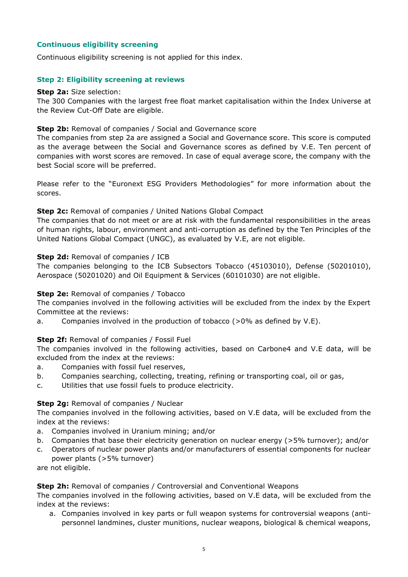# **Continuous eligibility screening**

Continuous eligibility screening is not applied for this index.

# **Step 2: Eligibility screening at reviews**

### **Step 2a:** Size selection:

The 300 Companies with the largest free float market capitalisation within the Index Universe at the Review Cut-Off Date are eligible.

# **Step 2b:** Removal of companies / Social and Governance score

The companies from step 2a are assigned a Social and Governance score. This score is computed as the average between the Social and Governance scores as defined by V.E. Ten percent of companies with worst scores are removed. In case of equal average score, the company with the best Social score will be preferred.

Please refer to the "Euronext ESG Providers Methodologies" for more information about the scores.

# **Step 2c:** Removal of companies / United Nations Global Compact

The companies that do not meet or are at risk with the fundamental responsibilities in the areas of human rights, labour, environment and anti-corruption as defined by the Ten Principles of the United Nations Global Compact (UNGC), as evaluated by V.E, are not eligible.

# **Step 2d:** Removal of companies / ICB

The companies belonging to the ICB Subsectors Tobacco (45103010), Defense (50201010), Aerospace (50201020) and Oil Equipment & Services (60101030) are not eligible.

# **Step 2e:** Removal of companies / Tobacco

The companies involved in the following activities will be excluded from the index by the Expert Committee at the reviews:

a. Companies involved in the production of tobacco  $(0.0\%)$  as defined by V.E).

# **Step 2f:** Removal of companies / Fossil Fuel

The companies involved in the following activities, based on Carbone4 and V.E data, will be excluded from the index at the reviews:

- a. Companies with fossil fuel reserves,
- b. Companies searching, collecting, treating, refining or transporting coal, oil or gas,
- c. Utilities that use fossil fuels to produce electricity.

# **Step 2g: Removal of companies / Nuclear**

The companies involved in the following activities, based on V.E data, will be excluded from the index at the reviews:

- a. Companies involved in Uranium mining; and/or
- b. Companies that base their electricity generation on nuclear energy (>5% turnover); and/or
- c. Operators of nuclear power plants and/or manufacturers of essential components for nuclear power plants (>5% turnover)

are not eligible.

# **Step 2h:** Removal of companies / Controversial and Conventional Weapons

The companies involved in the following activities, based on V.E data, will be excluded from the index at the reviews:

a. Companies involved in key parts or full weapon systems for controversial weapons (antipersonnel landmines, cluster munitions, nuclear weapons, biological & chemical weapons,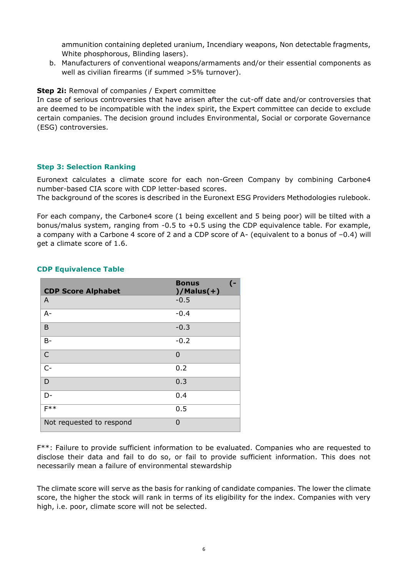ammunition containing depleted uranium, Incendiary weapons, Non detectable fragments, White phosphorous, Blinding lasers).

b. Manufacturers of conventional weapons/armaments and/or their essential components as well as civilian firearms (if summed >5% turnover).

# **Step 2i:** Removal of companies / Expert committee

In case of serious controversies that have arisen after the cut-off date and/or controversies that are deemed to be incompatible with the index spirit, the Expert committee can decide to exclude certain companies. The decision ground includes Environmental, Social or corporate Governance (ESG) controversies.

# **Step 3: Selection Ranking**

Euronext calculates a climate score for each non-Green Company by combining Carbone4 number-based CIA score with CDP letter-based scores.

The background of the scores is described in the Euronext ESG Providers Methodologies rulebook.

For each company, the Carbone4 score (1 being excellent and 5 being poor) will be tilted with a bonus/malus system, ranging from -0.5 to +0.5 using the CDP equivalence table. For example, a company with a Carbone 4 score of 2 and a CDP score of A- (equivalent to a bonus of –0.4) will get a climate score of 1.6.

| <b>CDP Score Alphabet</b> | <b>Bonus</b><br>$\epsilon$<br>$)/$ Malus $(+)$ |
|---------------------------|------------------------------------------------|
| A                         | $-0.5$                                         |
| $A -$                     | $-0.4$                                         |
| B                         | $-0.3$                                         |
| $B -$                     | $-0.2$                                         |
| C                         | $\Omega$                                       |
| $C -$                     | 0.2                                            |
| D                         | 0.3                                            |
| D-                        | 0.4                                            |
| $F**$                     | 0.5                                            |
| Not requested to respond  | $\Omega$                                       |

# **CDP Equivalence Table**

F\*\*: Failure to provide sufficient information to be evaluated. Companies who are requested to disclose their data and fail to do so, or fail to provide sufficient information. This does not necessarily mean a failure of environmental stewardship

The climate score will serve as the basis for ranking of candidate companies. The lower the climate score, the higher the stock will rank in terms of its eligibility for the index. Companies with very high, i.e. poor, climate score will not be selected.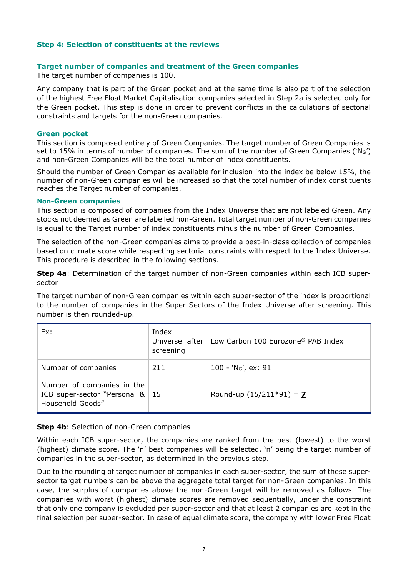# **Step 4: Selection of constituents at the reviews**

# **Target number of companies and treatment of the Green companies**

The target number of companies is 100.

Any company that is part of the Green pocket and at the same time is also part of the selection of the highest Free Float Market Capitalisation companies selected in Step 2a is selected only for the Green pocket. This step is done in order to prevent conflicts in the calculations of sectorial constraints and targets for the non-Green companies.

# **Green pocket**

This section is composed entirely of Green Companies. The target number of Green Companies is set to 15% in terms of number of companies. The sum of the number of Green Companies ( $N_G$ ) and non-Green Companies will be the total number of index constituents.

Should the number of Green Companies available for inclusion into the index be below 15%, the number of non-Green companies will be increased so that the total number of index constituents reaches the Target number of companies.

#### **Non-Green companies**

This section is composed of companies from the Index Universe that are not labeled Green. Any stocks not deemed as Green are labelled non-Green. Total target number of non-Green companies is equal to the Target number of index constituents minus the number of Green Companies.

The selection of the non-Green companies aims to provide a best-in-class collection of companies based on climate score while respecting sectorial constraints with respect to the Index Universe. This procedure is described in the following sections.

**Step 4a**: Determination of the target number of non-Green companies within each ICB supersector

The target number of non-Green companies within each super-sector of the index is proportional to the number of companies in the Super Sectors of the Index Universe after screening. This number is then rounded-up.

| Ex:                                                                                  | Index<br>Universe after<br>screening | Low Carbon 100 Eurozone® PAB Index |
|--------------------------------------------------------------------------------------|--------------------------------------|------------------------------------|
| Number of companies                                                                  | 211                                  | $100 - 'NG'$ , ex: 91              |
| Number of companies in the<br>ICB super-sector "Personal $\&$ 15<br>Household Goods" |                                      | Round-up $(15/211*91) = 7$         |

# **Step 4b: Selection of non-Green companies**

Within each ICB super-sector, the companies are ranked from the best (lowest) to the worst (highest) climate score. The 'n' best companies will be selected, 'n' being the target number of companies in the super-sector, as determined in the previous step.

Due to the rounding of target number of companies in each super-sector, the sum of these supersector target numbers can be above the aggregate total target for non-Green companies. In this case, the surplus of companies above the non-Green target will be removed as follows. The companies with worst (highest) climate scores are removed sequentially, under the constraint that only one company is excluded per super-sector and that at least 2 companies are kept in the final selection per super-sector. In case of equal climate score, the company with lower Free Float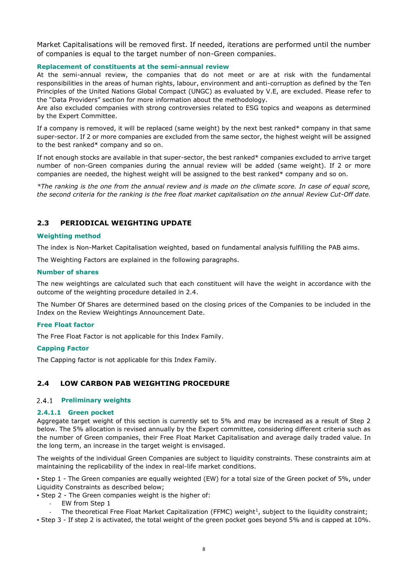Market Capitalisations will be removed first. If needed, iterations are performed until the number of companies is equal to the target number of non-Green companies.

#### **Replacement of constituents at the semi-annual review**

At the semi-annual review, the companies that do not meet or are at risk with the fundamental responsibilities in the areas of human rights, labour, environment and anti-corruption as defined by the Ten Principles of the United Nations Global Compact (UNGC) as evaluated by V.E, are excluded. Please refer to the "Data Providers" section for more information about the methodology.

Are also excluded companies with strong controversies related to ESG topics and weapons as determined by the Expert Committee.

If a company is removed, it will be replaced (same weight) by the next best ranked\* company in that same super-sector. If 2 or more companies are excluded from the same sector, the highest weight will be assigned to the best ranked\* company and so on.

If not enough stocks are available in that super-sector, the best ranked\* companies excluded to arrive target number of non-Green companies during the annual review will be added (same weight). If 2 or more companies are needed, the highest weight will be assigned to the best ranked\* company and so on.

*\*The ranking is the one from the annual review and is made on the climate score. In case of equal score, the second criteria for the ranking is the free float market capitalisation on the annual Review Cut-Off date.*

# <span id="page-9-0"></span>**2.3 PERIODICAL WEIGHTING UPDATE**

#### **Weighting method**

The index is Non-Market Capitalisation weighted, based on fundamental analysis fulfilling the PAB aims.

The Weighting Factors are explained in the following paragraphs.

#### **Number of shares**

The new weightings are calculated such that each constituent will have the weight in accordance with the outcome of the weighting procedure detailed in 2.4.

The Number Of Shares are determined based on the closing prices of the Companies to be included in the Index on the Review Weightings Announcement Date.

#### **Free Float factor**

The Free Float Factor is not applicable for this Index Family.

#### **Capping Factor**

The Capping factor is not applicable for this Index Family.

# <span id="page-9-1"></span>**2.4 LOW CARBON PAB WEIGHTING PROCEDURE**

#### **Preliminary weights**

#### **2.4.1.1 Green pocket**

Aggregate target weight of this section is currently set to 5% and may be increased as a result of Step 2 below. The 5% allocation is revised annually by the Expert committee, considering different criteria such as the number of Green companies, their Free Float Market Capitalisation and average daily traded value. In the long term, an increase in the target weight is envisaged.

The weights of the individual Green Companies are subject to liquidity constraints. These constraints aim at maintaining the replicability of the index in real-life market conditions.

▪ Step 1 - The Green companies are equally weighted (EW) for a total size of the Green pocket of 5%, under Liquidity Constraints as described below;

▪ Step 2 - The Green companies weight is the higher of:

- EW from Step 1
- The theoretical Free Float Market Capitalization (FFMC) weight<sup>1</sup>, subject to the liquidity constraint;

▪ Step 3 - If step 2 is activated, the total weight of the green pocket goes beyond 5% and is capped at 10%.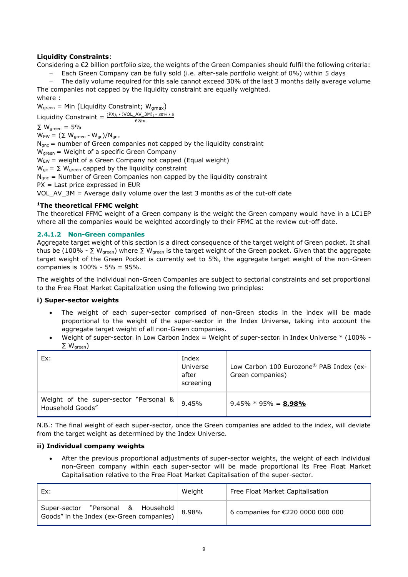# **Liquidity Constraints**:

Considering a €2 billion portfolio size, the weights of the Green Companies should fulfil the following criteria:

− Each Green Company can be fully sold (i.e. after-sale portfolio weight of 0%) within 5 days

The daily volume required for this sale cannot exceed 30% of the last 3 months daily average volume The companies not capped by the liquidity constraint are equally weighted.

where :

 $W_{\text{green}} = \text{Min (Liquidity Constant; W_{\text{qmax}})}$ 

Liquidity Constraint =  $\frac{(PX)_i \cdot (VOL_AV_AJM)_i \cdot 30\% \cdot 5}{\epsilon_{2bn}}$ 

 $\Sigma$  W<sub>green</sub> = 5%

 $W_{EW} = (\Sigma W_{green} - W_{gc})/N_{gnc}$ 

 $N<sub>anc</sub>$  = number of Green companies not capped by the liquidity constraint

 $W_{\text{green}}$  = Weight of a specific Green Company

 $W_{EW}$  = weight of a Green Company not capped (Equal weight)

 $W_{qc} = \sum W_{green}$  capped by the liquidity constraint

 $N<sub>anc</sub>$  = Number of Green Companies non capped by the liquidity constraint

PX = Last price expressed in EUR

VOL\_AV\_3M = Average daily volume over the last 3 months as of the cut-off date

#### **<sup>1</sup>The theoretical FFMC weight**

The theoretical FFMC weight of a Green company is the weight the Green company would have in a LC1EP where all the companies would be weighted accordingly to their FFMC at the review cut-off date.

#### **2.4.1.2 Non-Green companies**

Aggregate target weight of this section is a direct consequence of the target weight of Green pocket. It shall thus be (100% - ∑ W<sub>green</sub>) where ∑ W<sub>green</sub> is the target weight of the Green pocket. Given that the aggregate target weight of the Green Pocket is currently set to 5%, the aggregate target weight of the non-Green companies is 100% - 5% = 95%.

The weights of the individual non-Green Companies are subject to sectorial constraints and set proportional to the Free Float Market Capitalization using the following two principles:

# **i) Super-sector weights**

- The weight of each super-sector comprised of non-Green stocks in the index will be made proportional to the weight of the super-sector in the Index Universe, taking into account the aggregate target weight of all non-Green companies.
- Weight of super-sector<sub>i</sub> in Low Carbon Index = Weight of super-sectori in Index Universe  $*$  (100% - $\Sigma$  W<sub>areen</sub>)

| Ex:                                                        | Index<br>Universe<br>after<br>screening | Low Carbon 100 Eurozone® PAB Index (ex-<br>Green companies) |
|------------------------------------------------------------|-----------------------------------------|-------------------------------------------------------------|
| Weight of the super-sector "Personal &<br>Household Goods" | 9.45%                                   | $9.45\% * 95\% = 8.98\%$                                    |

N.B.: The final weight of each super-sector, once the Green companies are added to the index, will deviate from the target weight as determined by the Index Universe.

# **ii) Individual company weights**

• After the previous proportional adjustments of super-sector weights, the weight of each individual non-Green company within each super-sector will be made proportional its Free Float Market Capitalisation relative to the Free Float Market Capitalisation of the super-sector.

| Ex:                                                                            | Weight | Free Float Market Capitalisation  |
|--------------------------------------------------------------------------------|--------|-----------------------------------|
| Super-sector "Personal & Household<br>Goods" in the Index (ex-Green companies) | 8.98%  | 6 companies for €220 0000 000 000 |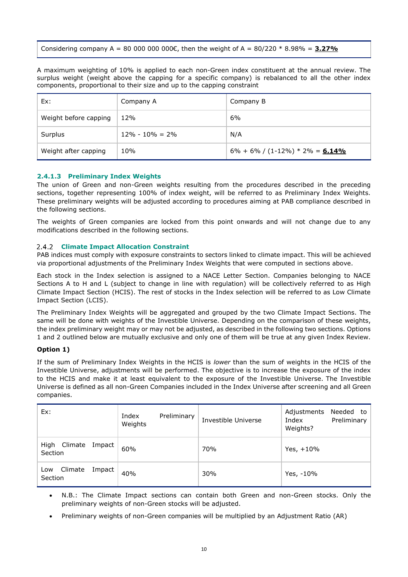Considering company A = 80 000 000 000€, then the weight of A =  $80/220 * 8.98% = 3.27%$ 

A maximum weighting of 10% is applied to each non-Green index constituent at the annual review. The surplus weight (weight above the capping for a specific company) is rebalanced to all the other index components, proportional to their size and up to the capping constraint

| Ex:                   | Company A           | Company B                             |
|-----------------------|---------------------|---------------------------------------|
| Weight before capping | 12%                 | 6%                                    |
| Surplus               | $12\% - 10\% = 2\%$ | N/A                                   |
| Weight after capping  | 10%                 | $6\% + 6\% / (1-12\%) * 2\% = 6.14\%$ |

# **2.4.1.3 Preliminary Index Weights**

The union of Green and non-Green weights resulting from the procedures described in the preceding sections, together representing 100% of index weight, will be referred to as Preliminary Index Weights. These preliminary weights will be adjusted according to procedures aiming at PAB compliance described in the following sections.

The weights of Green companies are locked from this point onwards and will not change due to any modifications described in the following sections.

#### **Climate Impact Allocation Constraint**

PAB indices must comply with exposure constraints to sectors linked to climate impact. This will be achieved via proportional adjustments of the Preliminary Index Weights that were computed in sections above.

Each stock in the Index selection is assigned to a NACE Letter Section. Companies belonging to NACE Sections A to H and L (subject to change in line with regulation) will be collectively referred to as High Climate Impact Section (HCIS). The rest of stocks in the Index selection will be referred to as Low Climate Impact Section (LCIS).

The Preliminary Index Weights will be aggregated and grouped by the two Climate Impact Sections. The same will be done with weights of the Investible Universe. Depending on the comparison of these weights, the index preliminary weight may or may not be adjusted, as described in the following two sections. Options 1 and 2 outlined below are mutually exclusive and only one of them will be true at any given Index Review.

#### **Option 1)**

If the sum of Preliminary Index Weights in the HCIS is *lower* than the sum of weights in the HCIS of the Investible Universe, adjustments will be performed. The objective is to increase the exposure of the index to the HCIS and make it at least equivalent to the exposure of the Investible Universe. The Investible Universe is defined as all non-Green Companies included in the Index Universe after screening and all Green companies.

| Ex:                                 | Index<br>Preliminary<br>Weights | Investible Universe | Needed to<br>Adjustments<br>Preliminary<br>Index<br>Weights? |
|-------------------------------------|---------------------------------|---------------------|--------------------------------------------------------------|
| Climate Impact<br>High<br>Section   | 60%                             | 70%                 | Yes, $+10%$                                                  |
| Climate<br>Impact<br>Low<br>Section | 40%                             | 30%                 | Yes, -10%                                                    |

- N.B.: The Climate Impact sections can contain both Green and non-Green stocks. Only the preliminary weights of non-Green stocks will be adjusted.
- Preliminary weights of non-Green companies will be multiplied by an Adjustment Ratio (AR)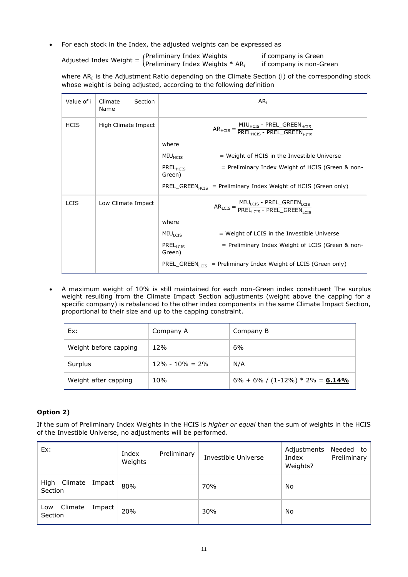• For each stock in the Index, the adjusted weights can be expressed as

Adjusted Index Weight =  $\int_{\text{Dezliminany Index Weights}}^{\text{Preliminary Index Weights}}$  Meximinary Index Weights if company is Green Preliminary Index Weights  $*$  AR<sub>i</sub> if company is non-Green

where AR<sub>i</sub> is the Adjustment Ratio depending on the Climate Section (i) of the corresponding stock whose weight is being adjusted, according to the following definition

| Value of i  | Climate<br>Section<br>Name | AR <sub>i</sub>                                                                        |
|-------------|----------------------------|----------------------------------------------------------------------------------------|
| <b>HCIS</b> | High Climate Impact        | $AR_{HCIS} = \frac{MIU_{HCIS} - PREL\_GREEN_{HCIS}}{PREL_{HCTS} - PREL\_GREEN_{HCTS}}$ |
|             |                            | where                                                                                  |
|             |                            | MIU <sub>HCIS</sub><br>= Weight of HCIS in the Investible Universe                     |
|             |                            | PRELHCIS<br>= Preliminary Index Weight of HCIS (Green & non-<br>Green)                 |
|             |                            | PREL_GREEN <sub>HCIS</sub> = Preliminary Index Weight of HCIS (Green only)             |
| <b>LCIS</b> | Low Climate Impact         | $AR_{LCIS} = \frac{MIU_{LCIS} - PREL\_GREEN_{LCIS}}{PREL_{LCIS} - PREL\_GREEN_{LCIS}}$ |
|             |                            | where                                                                                  |
|             |                            | = Weight of LCIS in the Investible Universe<br>$MIU_{LCIS}$                            |
|             |                            | PREL <sub>L</sub> crs<br>= Preliminary Index Weight of LCIS (Green & non-<br>Green)    |
|             |                            | PREL_GREEN <sub>LCIS</sub> = Preliminary Index Weight of LCIS (Green only)             |

• A maximum weight of 10% is still maintained for each non-Green index constituent The surplus weight resulting from the Climate Impact Section adjustments (weight above the capping for a specific company) is rebalanced to the other index components in the same Climate Impact Section, proportional to their size and up to the capping constraint.

| Ex:                   | Company A           | Company B                             |
|-----------------------|---------------------|---------------------------------------|
| Weight before capping | 12%                 | 6%                                    |
| Surplus               | $12\% - 10\% = 2\%$ | N/A                                   |
| Weight after capping  | 10%                 | $6\% + 6\% / (1-12\%) * 2\% = 6.14\%$ |

# **Option 2)**

If the sum of Preliminary Index Weights in the HCIS is *higher or equal* than the sum of weights in the HCIS of the Investible Universe, no adjustments will be performed.

| Ex:                                 | Index<br>Preliminary<br>Weights | Investible Universe | Needed to<br>Adjustments<br>Preliminary<br>Index<br>Weights? |
|-------------------------------------|---------------------------------|---------------------|--------------------------------------------------------------|
| Climate Impact<br>High<br>Section   | 80%                             | 70%                 | No                                                           |
| Climate<br>Impact<br>Low<br>Section | 20%                             | 30%                 | No                                                           |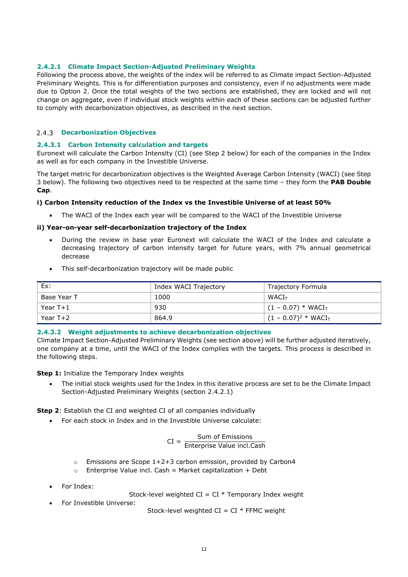### **2.4.2.1 Climate Impact Section-Adjusted Preliminary Weights**

Following the process above, the weights of the index will be referred to as Climate impact Section-Adjusted Preliminary Weights. This is for differentiation purposes and consistency, even if no adjustments were made due to Option 2. Once the total weights of the two sections are established, they are locked and will not change on aggregate, even if individual stock weights within each of these sections can be adjusted further to comply with decarbonization objectives, as described in the next section.

#### **Decarbonization Objectives**

#### **2.4.3.1 Carbon Intensity calculation and targets**

Euronext will calculate the Carbon Intensity (CI) (see Step 2 below) for each of the companies in the Index as well as for each company in the Investible Universe.

The target metric for decarbonization objectives is the Weighted Average Carbon Intensity (WACI) (see Step 3 below). The following two objectives need to be respected at the same time – they form the **PAB Double Cap**.

#### **i) Carbon Intensity reduction of the Index vs the Investible Universe of at least 50%**

The WACI of the Index each year will be compared to the WACI of the Investible Universe

#### **ii) Year-on-year self-decarbonization trajectory of the Index**

- During the review in base year Euronext will calculate the WACI of the Index and calculate a decreasing trajectory of carbon intensity target for future years, with 7% annual geometrical decrease
- This self-decarbonization trajectory will be made public

| Ex:         | Index WACI Trajectory | Trajectory Formula      |
|-------------|-----------------------|-------------------------|
| Base Year T | 1000                  | WACI <sub>T</sub>       |
| Year T+1    | 930                   | $(1 - 0.07) * WACIT$    |
| Year $T+2$  | 864.9                 | $(1 - 0.07)^2 * WACI_T$ |

#### **2.4.3.2 Weight adjustments to achieve decarbonization objectives**

Climate Impact Section-Adjusted Preliminary Weights (see section above) will be further adjusted iteratively, one company at a time, until the WACI of the Index complies with the targets. This process is described in the following steps.

**Step 1:** Initialize the Temporary Index weights

• The initial stock weights used for the Index in this iterative process are set to be the Climate Impact Section-Adjusted Preliminary Weights (section 2.4.2.1)

**Step 2**: Establish the CI and weighted CI of all companies individually

• For each stock in Index and in the Investible Universe calculate:

$$
CI = \frac{Sum of Emissions}{Enterprise Value incl.Cash}
$$

- $\circ$  Emissions are Scope 1+2+3 carbon emission, provided by Carbon4
- $\circ$  Enterprise Value incl. Cash = Market capitalization + Debt
- For Index:

Stock-level weighted  $CI = CI * Temporary Index weight$ 

• For Investible Universe:

Stock-level weighted  $CI = CI * FFMC$  weight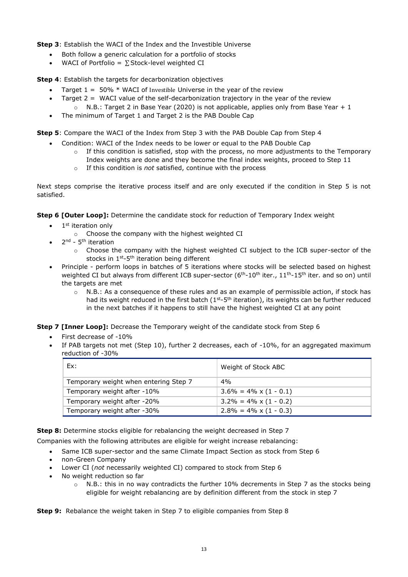**Step 3**: Establish the WACI of the Index and the Investible Universe

- Both follow a generic calculation for a portfolio of stocks
- WACI of Portfolio =  $\Sigma$  Stock-level weighted CI

**Step 4**: Establish the targets for decarbonization objectives

- Target  $1 = 50\% * WACI$  of Investible Universe in the year of the review
- Target  $2 = WACI$  value of the self-decarbonization trajectory in the year of the review  $\circ$  N.B.: Target 2 in Base Year (2020) is not applicable, applies only from Base Year + 1
- The minimum of Target 1 and Target 2 is the PAB Double Cap

**Step 5**: Compare the WACI of the Index from Step 3 with the PAB Double Cap from Step 4

- Condition: WACI of the Index needs to be lower or equal to the PAB Double Cap
	- $\circ$  If this condition is satisfied, stop with the process, no more adjustments to the Temporary Index weights are done and they become the final index weights, proceed to Step 11
	- o If this condition is *not* satisfied, continue with the process

Next steps comprise the iterative process itself and are only executed if the condition in Step 5 is not satisfied.

**Step 6 [Outer Loop]:** Determine the candidate stock for reduction of Temporary Index weight

- 1<sup>st</sup> iteration only
	- o Choose the company with the highest weighted CI
- 2<sup>nd</sup> 5<sup>th</sup> iteration
	- o Choose the company with the highest weighted CI subject to the ICB super-sector of the stocks in  $1^{st}$ -5<sup>th</sup> iteration being different
- Principle perform loops in batches of 5 iterations where stocks will be selected based on highest weighted CI but always from different ICB super-sector  $(6<sup>th</sup>-10<sup>th</sup>$  iter.,  $11<sup>th</sup>-15<sup>th</sup>$  iter. and so on) until the targets are met
	- o N.B.: As a consequence of these rules and as an example of permissible action, if stock has had its weight reduced in the first batch  $(1<sup>st</sup>-5<sup>th</sup>$  iteration), its weights can be further reduced in the next batches if it happens to still have the highest weighted CI at any point

**Step 7 [Inner Loop]:** Decrease the Temporary weight of the candidate stock from Step 6

- First decrease of -10%
- If PAB targets not met (Step 10), further 2 decreases, each of -10%, for an aggregated maximum reduction of -30%

| Ex:                                   | Weight of Stock ABC            |
|---------------------------------------|--------------------------------|
| Temporary weight when entering Step 7 | 4%                             |
| Temporary weight after -10%           | $3.6\% = 4\% \times (1 - 0.1)$ |
| Temporary weight after -20%           | $3.2\% = 4\% \times (1 - 0.2)$ |
| Temporary weight after -30%           | $2.8\% = 4\% \times (1 - 0.3)$ |

**Step 8:** Determine stocks eligible for rebalancing the weight decreased in Step 7

Companies with the following attributes are eligible for weight increase rebalancing:

- Same ICB super-sector and the same Climate Impact Section as stock from Step 6
- non-Green Company
- Lower CI (*not* necessarily weighted CI) compared to stock from Step 6
- No weight reduction so far
	- $\circ$  N.B.: this in no way contradicts the further 10% decrements in Step 7 as the stocks being eligible for weight rebalancing are by definition different from the stock in step 7

**Step 9:** Rebalance the weight taken in Step 7 to eligible companies from Step 8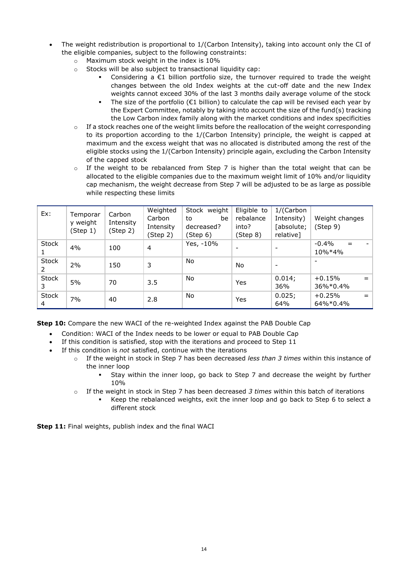- The weight redistribution is proportional to 1/(Carbon Intensity), taking into account only the CI of the eligible companies, subject to the following constraints:
	- o Maximum stock weight in the index is 10%
	- o Stocks will be also subject to transactional liquidity cap:
		- Considering a  $E1$  billion portfolio size, the turnover required to trade the weight changes between the old Index weights at the cut-off date and the new Index weights cannot exceed 30% of the last 3 months daily average volume of the stock
		- The size of the portfolio ( $E1$  billion) to calculate the cap will be revised each year by the Expert Committee, notably by taking into account the size of the fund(s) tracking the Low Carbon index family along with the market conditions and index specificities
	- $\circ$  If a stock reaches one of the weight limits before the reallocation of the weight corresponding to its proportion according to the 1/(Carbon Intensity) principle, the weight is capped at maximum and the excess weight that was no allocated is distributed among the rest of the eligible stocks using the 1/(Carbon Intensity) principle again, excluding the Carbon Intensity of the capped stock
	- o If the weight to be rebalanced from Step 7 is higher than the total weight that can be allocated to the eligible companies due to the maximum weight limit of 10% and/or liquidity cap mechanism, the weight decrease from Step 7 will be adjusted to be as large as possible while respecting these limits

| Ex:               | Temporar<br>y weight<br>(Step 1) | Carbon<br>Intensity<br>(Step 2) | Weighted<br>Carbon<br>Intensity<br>(Step 2) | Stock weight<br>be<br>to<br>decreased?<br>(Step 6) | Eligible to<br>rebalance<br>into?<br>(Step 8) | 1/(Carbon<br>Intensity)<br>[absolute;<br>relative] | Weight changes<br>(Step 9)      |
|-------------------|----------------------------------|---------------------------------|---------------------------------------------|----------------------------------------------------|-----------------------------------------------|----------------------------------------------------|---------------------------------|
| <b>Stock</b><br>1 | 4%                               | 100                             | $\overline{4}$                              | Yes, -10%                                          | $\overline{\phantom{0}}$                      |                                                    | $-0.4%$<br>$=$<br>10%*4%        |
| <b>Stock</b><br>2 | 2%                               | 150                             | 3                                           | No                                                 | No                                            | $\overline{\phantom{0}}$                           |                                 |
| <b>Stock</b><br>3 | 5%                               | 70                              | 3.5                                         | <b>No</b>                                          | <b>Yes</b>                                    | 0.014;<br>36%                                      | $+0.15%$<br>36%*0.4%            |
| <b>Stock</b><br>4 | 7%                               | 40                              | 2.8                                         | <b>No</b>                                          | <b>Yes</b>                                    | 0.025;<br>64%                                      | $+0.25%$<br>$=$<br>$64\%*0.4\%$ |

**Step 10:** Compare the new WACI of the re-weighted Index against the PAB Double Cap

- Condition: WACI of the Index needs to be lower or equal to PAB Double Cap
- If this condition is satisfied, stop with the iterations and proceed to Step 11
- If this condition is *not* satisfied, continue with the iterations
	- o If the weight in stock in Step 7 has been decreased *less than 3 times* within this instance of the inner loop
		- Stay within the inner loop, go back to Step 7 and decrease the weight by further 10%
	- o If the weight in stock in Step 7 has been decreased *3 times* within this batch of iterations
		- Keep the rebalanced weights, exit the inner loop and go back to Step 6 to select a different stock

**Step 11:** Final weights, publish index and the final WACI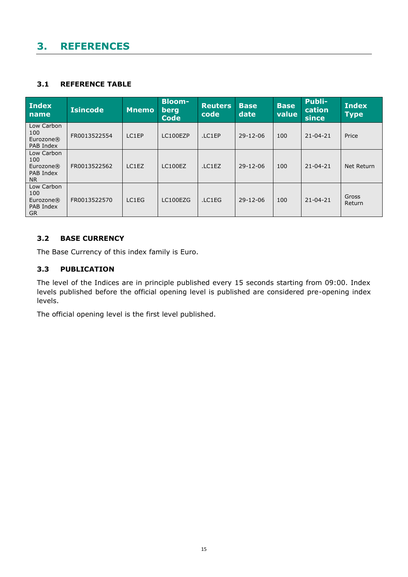# <span id="page-16-0"></span>**3. REFERENCES**

# <span id="page-16-1"></span>**3.1 REFERENCE TABLE**

| <b>Index</b><br><b>name</b>                              | <b>Isincode</b> | <b>Mnemo</b> | <b>Bloom-</b><br>berg<br><b>Code</b> | <b>Reuters</b><br>code | <b>Base</b><br>date | <b>Base</b><br>value | <b>Publi-</b><br>cation<br>since | <b>Index</b><br><b>Type</b> |
|----------------------------------------------------------|-----------------|--------------|--------------------------------------|------------------------|---------------------|----------------------|----------------------------------|-----------------------------|
| Low Carbon<br>100<br>Eurozone®<br>PAB Index              | FR0013522554    | LC1EP        | LC100EZP                             | .LC1EP                 | 29-12-06            | 100                  | $21 - 04 - 21$                   | Price                       |
| Low Carbon<br>100<br>Eurozone®<br>PAB Index<br><b>NR</b> | FR0013522562    | LC1EZ        | LC100EZ                              | .LC1EZ                 | $29 - 12 - 06$      | 100                  | $21 - 04 - 21$                   | Net Return                  |
| Low Carbon<br>100<br>Eurozone®<br>PAB Index<br><b>GR</b> | FR0013522570    | LC1EG        | LC100EZG                             | .LC1EG                 | $29 - 12 - 06$      | 100                  | $21 - 04 - 21$                   | Gross<br>Return             |

# <span id="page-16-2"></span>**3.2 BASE CURRENCY**

The Base Currency of this index family is Euro.

# <span id="page-16-3"></span>**3.3 PUBLICATION**

The level of the Indices are in principle published every 15 seconds starting from 09:00. Index levels published before the official opening level is published are considered pre-opening index levels.

The official opening level is the first level published.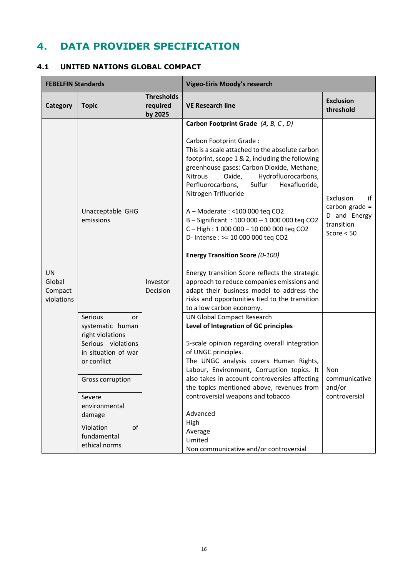# <span id="page-17-0"></span>**4. DATA PROVIDER SPECIFICATION**

# <span id="page-17-1"></span>**4.1 UNITED NATIONS GLOBAL COMPACT**

| <b>FEBELFIN Standards</b>                    |                                                                                                                                                                                                                               |                                          | <b>Vigeo-Eiris Moody's research</b>                                                                                                                                                                                                                                                                                                                                                                                                                                                                                                                                                                                                                                                                                                                                           |                                                                                   |
|----------------------------------------------|-------------------------------------------------------------------------------------------------------------------------------------------------------------------------------------------------------------------------------|------------------------------------------|-------------------------------------------------------------------------------------------------------------------------------------------------------------------------------------------------------------------------------------------------------------------------------------------------------------------------------------------------------------------------------------------------------------------------------------------------------------------------------------------------------------------------------------------------------------------------------------------------------------------------------------------------------------------------------------------------------------------------------------------------------------------------------|-----------------------------------------------------------------------------------|
| Category                                     | <b>Topic</b>                                                                                                                                                                                                                  | <b>Thresholds</b><br>required<br>by 2025 | <b>VE Research line</b>                                                                                                                                                                                                                                                                                                                                                                                                                                                                                                                                                                                                                                                                                                                                                       | <b>Exclusion</b><br>threshold                                                     |
| <b>UN</b><br>Global<br>Compact<br>violations | Unacceptable GHG<br>emissions                                                                                                                                                                                                 | Investor<br>Decision                     | Carbon Footprint Grade (A, B, C, D)<br>Carbon Footprint Grade:<br>This is a scale attached to the absolute carbon<br>footprint, scope 1 & 2, including the following<br>greenhouse gases: Carbon Dioxide, Methane,<br>Hydrofluorocarbons,<br>Nitrous<br>Oxide,<br>Sulfur<br>Hexafluoride,<br>Perfluorocarbons,<br>Nitrogen Trifluoride<br>A - Moderate : < 100 000 teq CO2<br>B-Significant: 100 000 - 1 000 000 teq CO2<br>C-High: 1 000 000 - 10 000 000 teq CO2<br>D- Intense : >= 10 000 000 teq CO2<br><b>Energy Transition Score (0-100)</b><br>Energy transition Score reflects the strategic<br>approach to reduce companies emissions and<br>adapt their business model to address the<br>risks and opportunities tied to the transition<br>to a low carbon economy. | if<br>Exclusion<br>carbon grade $=$<br>D and Energy<br>transition<br>Score $< 50$ |
|                                              | Serious<br>or<br>systematic human<br>right violations<br>Serious violations<br>in situation of war<br>or conflict<br>Gross corruption<br>Severe<br>environmental<br>damage<br>of<br>Violation<br>fundamental<br>ethical norms |                                          | <b>UN Global Compact Research</b><br>Level of Integration of GC principles<br>5-scale opinion regarding overall integration<br>of UNGC principles.<br>The UNGC analysis covers Human Rights,<br>Labour, Environment, Corruption topics. It<br>also takes in account controversies affecting<br>the topics mentioned above, revenues from<br>controversial weapons and tobacco<br>Advanced<br>High<br>Average<br>Limited<br>Non communicative and/or controversial                                                                                                                                                                                                                                                                                                             | Non<br>communicative<br>and/or<br>controversial                                   |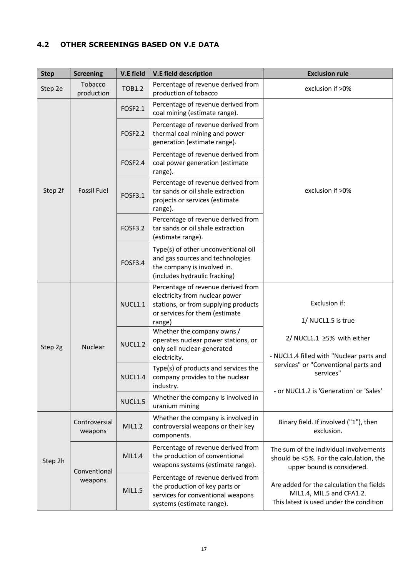# <span id="page-18-0"></span>**4.2 OTHER SCREENINGS BASED ON V.E DATA**

| <b>Step</b>        | <b>Screening</b>         | <b>V.E field</b>                                                                                                                                         | <b>V.E field description</b>                                                                                                            | <b>Exclusion rule</b>                                                                                            |                                                                                                                 |  |
|--------------------|--------------------------|----------------------------------------------------------------------------------------------------------------------------------------------------------|-----------------------------------------------------------------------------------------------------------------------------------------|------------------------------------------------------------------------------------------------------------------|-----------------------------------------------------------------------------------------------------------------|--|
| Step 2e            | Tobacco<br>production    | TOB1.2                                                                                                                                                   | Percentage of revenue derived from<br>production of tobacco                                                                             | exclusion if >0%                                                                                                 |                                                                                                                 |  |
|                    |                          | <b>FOSF2.1</b>                                                                                                                                           | Percentage of revenue derived from<br>coal mining (estimate range).                                                                     |                                                                                                                  |                                                                                                                 |  |
|                    |                          | <b>FOSF2.2</b>                                                                                                                                           | Percentage of revenue derived from<br>thermal coal mining and power<br>generation (estimate range).                                     |                                                                                                                  |                                                                                                                 |  |
|                    |                          | FOSF2.4                                                                                                                                                  | Percentage of revenue derived from<br>coal power generation (estimate<br>range).                                                        |                                                                                                                  |                                                                                                                 |  |
| Step 2f            | <b>Fossil Fuel</b>       | <b>FOSF3.1</b>                                                                                                                                           | Percentage of revenue derived from<br>tar sands or oil shale extraction<br>projects or services (estimate<br>range).                    | exclusion if >0%                                                                                                 |                                                                                                                 |  |
|                    | <b>FOSF3.2</b>           | Percentage of revenue derived from<br>tar sands or oil shale extraction<br>(estimate range).                                                             |                                                                                                                                         |                                                                                                                  |                                                                                                                 |  |
|                    |                          | <b>FOSF3.4</b>                                                                                                                                           | Type(s) of other unconventional oil<br>and gas sources and technologies<br>the company is involved in.<br>(includes hydraulic fracking) |                                                                                                                  |                                                                                                                 |  |
| Nuclear<br>Step 2g | NUCL1.1                  | Percentage of revenue derived from<br>electricity from nuclear power<br>stations, or from supplying products<br>or services for them (estimate<br>range) | Exclusion if:<br>1/ NUCL1.5 is true                                                                                                     |                                                                                                                  |                                                                                                                 |  |
|                    |                          | <b>NUCL1.2</b>                                                                                                                                           | Whether the company owns /<br>operates nuclear power stations, or<br>only sell nuclear-generated<br>electricity.                        | 2/ NUCL1.1 ≥5% with either<br>- NUCL1.4 filled with "Nuclear parts and                                           |                                                                                                                 |  |
|                    |                          | NUCL1.4                                                                                                                                                  | Type(s) of products and services the<br>company provides to the nuclear<br>industry.                                                    | services" or "Conventional parts and<br>services"<br>- or NUCL1.2 is 'Generation' or 'Sales'                     |                                                                                                                 |  |
|                    |                          | NUCL1.5                                                                                                                                                  | Whether the company is involved in<br>uranium mining                                                                                    |                                                                                                                  |                                                                                                                 |  |
|                    | Controversial<br>weapons | MIL1.2                                                                                                                                                   | Whether the company is involved in<br>controversial weapons or their key<br>components.                                                 | Binary field. If involved ("1"), then<br>exclusion.                                                              |                                                                                                                 |  |
| Step 2h            | Conventional<br>weapons  | MIL1.4                                                                                                                                                   |                                                                                                                                         | Percentage of revenue derived from<br>the production of conventional<br>weapons systems (estimate range).        | The sum of the individual involvements<br>should be <5%. For the calculation, the<br>upper bound is considered. |  |
|                    |                          | MIL1.5                                                                                                                                                   | Percentage of revenue derived from<br>the production of key parts or<br>services for conventional weapons<br>systems (estimate range).  | Are added for the calculation the fields<br>MIL1.4, MIL.5 and CFA1.2.<br>This latest is used under the condition |                                                                                                                 |  |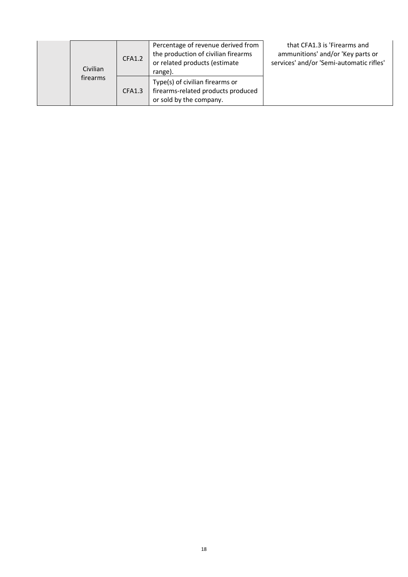| Civilian | <b>CFA1.2</b> | Percentage of revenue derived from<br>the production of civilian firearms<br>or related products (estimate<br>range). | that CFA1.3 is 'Firearms and<br>ammunitions' and/or 'Key parts or<br>services' and/or 'Semi-automatic rifles' |  |
|----------|---------------|-----------------------------------------------------------------------------------------------------------------------|---------------------------------------------------------------------------------------------------------------|--|
|          | firearms      | <b>CFA1.3</b>                                                                                                         | Type(s) of civilian firearms or<br>firearms-related products produced<br>or sold by the company.              |  |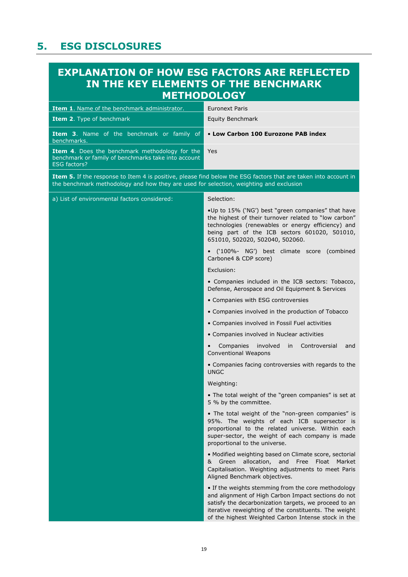# <span id="page-20-0"></span>**5. ESG DISCLOSURES**

# **EXPLANATION OF HOW ESG FACTORS ARE REFLECTED IN THE KEY ELEMENTS OF THE BENCHMARK METHODOLOGY**

| Item 1. Name of the benchmark administrator.                                                                                 | <b>Euronext Paris</b>                                                                                                                                                                                                                                                               |
|------------------------------------------------------------------------------------------------------------------------------|-------------------------------------------------------------------------------------------------------------------------------------------------------------------------------------------------------------------------------------------------------------------------------------|
| Item 2. Type of benchmark                                                                                                    | <b>Equity Benchmark</b>                                                                                                                                                                                                                                                             |
| Item 3. Name of the benchmark or family of<br>benchmarks.                                                                    | • Low Carbon 100 Eurozone PAB index                                                                                                                                                                                                                                                 |
| Item 4. Does the benchmark methodology for the<br>benchmark or family of benchmarks take into account<br><b>ESG factors?</b> | <b>Yes</b>                                                                                                                                                                                                                                                                          |
| the benchmark methodology and how they are used for selection, weighting and exclusion                                       | Item 5. If the response to Item 4 is positive, please find below the ESG factors that are taken into account in                                                                                                                                                                     |
| a) List of environmental factors considered:                                                                                 | Selection:                                                                                                                                                                                                                                                                          |
|                                                                                                                              | .Up to 15% ('NG') best "green companies" that have<br>the highest of their turnover related to "low carbon"<br>technologies (renewables or energy efficiency) and<br>being part of the ICB sectors 601020, 501010,<br>651010, 502020, 502040, 502060.                               |
|                                                                                                                              | · ('100%- NG') best climate score (combined<br>Carbone4 & CDP score)                                                                                                                                                                                                                |
|                                                                                                                              | Exclusion:                                                                                                                                                                                                                                                                          |
|                                                                                                                              | • Companies included in the ICB sectors: Tobacco,<br>Defense, Aerospace and Oil Equipment & Services                                                                                                                                                                                |
|                                                                                                                              | • Companies with ESG controversies                                                                                                                                                                                                                                                  |
|                                                                                                                              | • Companies involved in the production of Tobacco                                                                                                                                                                                                                                   |
|                                                                                                                              | • Companies involved in Fossil Fuel activities                                                                                                                                                                                                                                      |
|                                                                                                                              | • Companies involved in Nuclear activities                                                                                                                                                                                                                                          |
|                                                                                                                              | involved<br>Controversial<br>Companies<br>in<br>and<br><b>Conventional Weapons</b>                                                                                                                                                                                                  |
|                                                                                                                              | • Companies facing controversies with regards to the<br><b>UNGC</b>                                                                                                                                                                                                                 |
|                                                                                                                              | Weighting:                                                                                                                                                                                                                                                                          |
|                                                                                                                              | • The total weight of the "green companies" is set at<br>5 % by the committee.                                                                                                                                                                                                      |
|                                                                                                                              | . The total weight of the "non-green companies" is<br>95%. The weights of each ICB supersector is<br>proportional to the related universe. Within each<br>super-sector, the weight of each company is made<br>proportional to the universe.                                         |
|                                                                                                                              | • Modified weighting based on Climate score, sectorial<br>allocation,<br>Green<br>and<br>Free Float Market<br>&<br>Capitalisation. Weighting adjustments to meet Paris<br>Aligned Benchmark objectives.                                                                             |
|                                                                                                                              | • If the weights stemming from the core methodology<br>and alignment of High Carbon Impact sections do not<br>satisfy the decarbonization targets, we proceed to an<br>iterative reweighting of the constituents. The weight<br>of the highest Weighted Carbon Intense stock in the |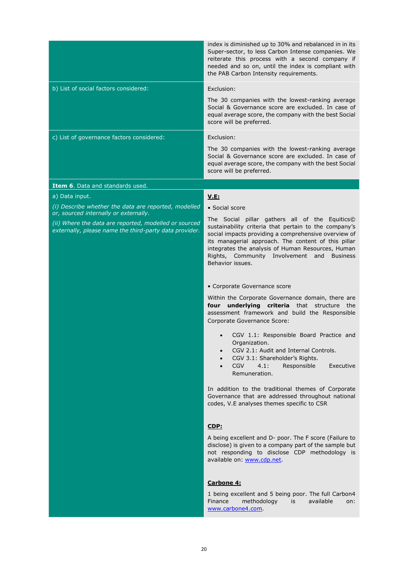|                                                                                                                                                          | index is diminished up to 30% and rebalanced in in its<br>Super-sector, to less Carbon Intense companies. We<br>reiterate this process with a second company if<br>needed and so on, until the index is compliant with<br>the PAB Carbon Intensity requirements.                                                                                        |
|----------------------------------------------------------------------------------------------------------------------------------------------------------|---------------------------------------------------------------------------------------------------------------------------------------------------------------------------------------------------------------------------------------------------------------------------------------------------------------------------------------------------------|
| b) List of social factors considered:                                                                                                                    | Exclusion:                                                                                                                                                                                                                                                                                                                                              |
|                                                                                                                                                          | The 30 companies with the lowest-ranking average<br>Social & Governance score are excluded. In case of<br>equal average score, the company with the best Social<br>score will be preferred.                                                                                                                                                             |
| c) List of governance factors considered:                                                                                                                | Exclusion:                                                                                                                                                                                                                                                                                                                                              |
|                                                                                                                                                          | The 30 companies with the lowest-ranking average<br>Social & Governance score are excluded. In case of<br>equal average score, the company with the best Social<br>score will be preferred.                                                                                                                                                             |
| Item 6. Data and standards used.                                                                                                                         |                                                                                                                                                                                                                                                                                                                                                         |
| a) Data input.                                                                                                                                           | V.E:                                                                                                                                                                                                                                                                                                                                                    |
| (i) Describe whether the data are reported, modelled                                                                                                     | • Social score                                                                                                                                                                                                                                                                                                                                          |
| or, sourced internally or externally.<br>(ii) Where the data are reported, modelled or sourced<br>externally, please name the third-party data provider. | The Social pillar gathers all of the Equitics©<br>sustainability criteria that pertain to the company's<br>social impacts providing a comprehensive overview of<br>its managerial approach. The content of this pillar<br>integrates the analysis of Human Resources, Human<br>Rights, Community Involvement and<br><b>Business</b><br>Behavior issues. |
|                                                                                                                                                          | • Corporate Governance score                                                                                                                                                                                                                                                                                                                            |
|                                                                                                                                                          | Within the Corporate Governance domain, there are<br>four underlying criteria that structure the<br>assessment framework and build the Responsible<br>Corporate Governance Score:                                                                                                                                                                       |
|                                                                                                                                                          | CGV 1.1: Responsible Board Practice and<br>Organization.<br>CGV 2.1: Audit and Internal Controls.<br>CGV 3.1: Shareholder's Rights.<br><b>CGV</b><br>4.1:<br>Responsible<br>Executive<br>Remuneration.                                                                                                                                                  |
|                                                                                                                                                          | In addition to the traditional themes of Corporate<br>Governance that are addressed throughout national<br>codes, V.E analyses themes specific to CSR                                                                                                                                                                                                   |
|                                                                                                                                                          | CDP:<br>A being excellent and D- poor. The F score (Failure to<br>disclose) is given to a company part of the sample but<br>not responding to disclose CDP methodology is<br>available on: www.cdp.net.                                                                                                                                                 |
|                                                                                                                                                          | Carbone 4:<br>1 being excellent and 5 being poor. The full Carbon4<br>methodology<br>Finance<br>available<br>is<br>on:<br>www.carbone4.com.                                                                                                                                                                                                             |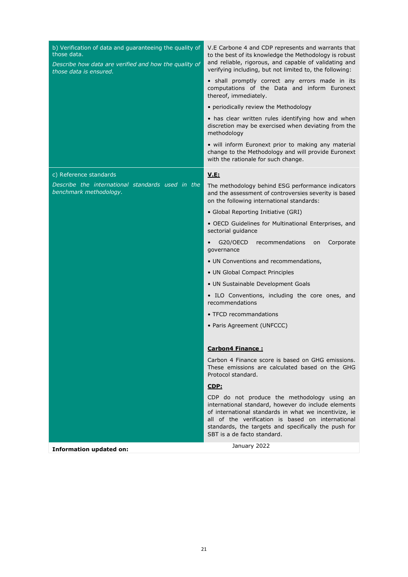| b) Verification of data and guaranteeing the quality of<br>those data.<br>Describe how data are verified and how the quality of<br>those data is ensured. | V.E Carbone 4 and CDP represents and warrants that<br>to the best of its knowledge the Methodology is robust<br>and reliable, rigorous, and capable of validating and<br>verifying including, but not limited to, the following:<br>· shall promptly correct any errors made in its<br>computations of the Data and inform Euronext<br>thereof, immediately.<br>• periodically review the Methodology<br>• has clear written rules identifying how and when<br>discretion may be exercised when deviating from the |
|-----------------------------------------------------------------------------------------------------------------------------------------------------------|--------------------------------------------------------------------------------------------------------------------------------------------------------------------------------------------------------------------------------------------------------------------------------------------------------------------------------------------------------------------------------------------------------------------------------------------------------------------------------------------------------------------|
|                                                                                                                                                           | methodology<br>• will inform Euronext prior to making any material<br>change to the Methodology and will provide Euronext<br>with the rationale for such change.                                                                                                                                                                                                                                                                                                                                                   |
| c) Reference standards                                                                                                                                    | <b>V.E:</b>                                                                                                                                                                                                                                                                                                                                                                                                                                                                                                        |
| Describe the international standards used in the<br>benchmark methodology.                                                                                | The methodology behind ESG performance indicators<br>and the assessment of controversies severity is based<br>on the following international standards:                                                                                                                                                                                                                                                                                                                                                            |
|                                                                                                                                                           | • Global Reporting Initiative (GRI)                                                                                                                                                                                                                                                                                                                                                                                                                                                                                |
|                                                                                                                                                           | • OECD Guidelines for Multinational Enterprises, and<br>sectorial guidance                                                                                                                                                                                                                                                                                                                                                                                                                                         |
|                                                                                                                                                           | G20/OECD<br>recommendations<br>Corporate<br>on<br>governance                                                                                                                                                                                                                                                                                                                                                                                                                                                       |
|                                                                                                                                                           | • UN Conventions and recommendations,                                                                                                                                                                                                                                                                                                                                                                                                                                                                              |
|                                                                                                                                                           | • UN Global Compact Principles                                                                                                                                                                                                                                                                                                                                                                                                                                                                                     |
|                                                                                                                                                           | • UN Sustainable Development Goals                                                                                                                                                                                                                                                                                                                                                                                                                                                                                 |
|                                                                                                                                                           | • ILO Conventions, including the core ones, and<br>recommendations                                                                                                                                                                                                                                                                                                                                                                                                                                                 |
|                                                                                                                                                           | • TFCD recommandations                                                                                                                                                                                                                                                                                                                                                                                                                                                                                             |
|                                                                                                                                                           | • Paris Agreement (UNFCCC)                                                                                                                                                                                                                                                                                                                                                                                                                                                                                         |
|                                                                                                                                                           | <u>Carbon4 Finance:</u>                                                                                                                                                                                                                                                                                                                                                                                                                                                                                            |
|                                                                                                                                                           | Carbon 4 Finance score is based on GHG emissions.<br>These emissions are calculated based on the GHG<br>Protocol standard.                                                                                                                                                                                                                                                                                                                                                                                         |
|                                                                                                                                                           | CDF:                                                                                                                                                                                                                                                                                                                                                                                                                                                                                                               |
|                                                                                                                                                           | CDP do not produce the methodology using an<br>international standard, however do include elements<br>of international standards in what we incentivize, ie<br>all of the verification is based on international<br>standards, the targets and specifically the push for<br>SBT is a de facto standard.                                                                                                                                                                                                            |
| <b>Information updated on:</b>                                                                                                                            | January 2022                                                                                                                                                                                                                                                                                                                                                                                                                                                                                                       |